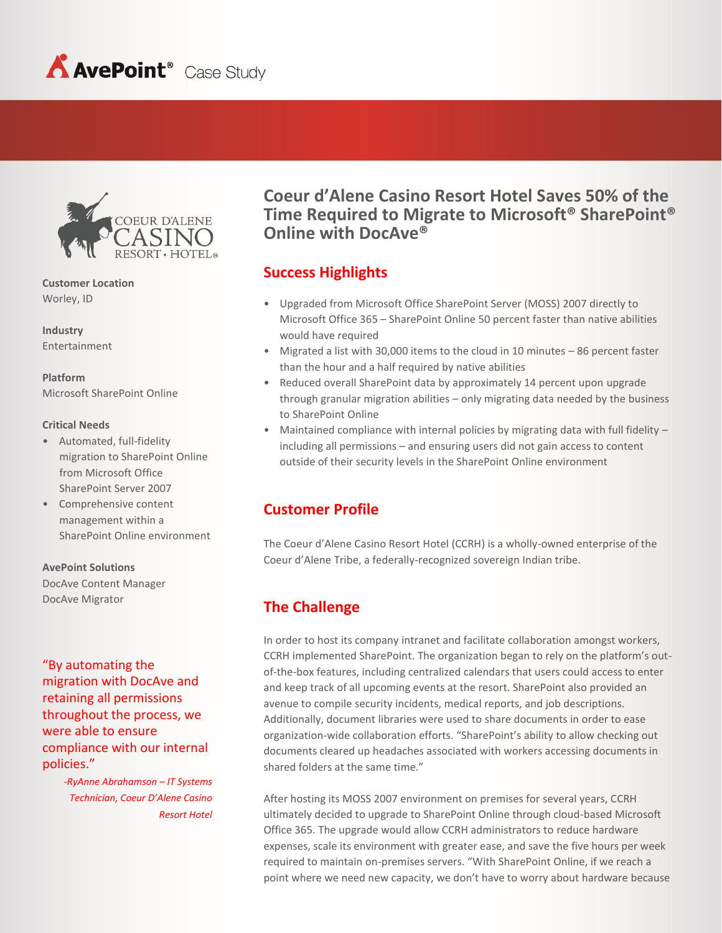



**Customer Location** Worley, ID

**Industry** Entertainment

**Platform** Microsoft SharePoint Online

#### **Critical Needs**

- Automated, full-fidelity migration to SharePoint Online from Microsoft Office SharePoint Server 2007
- Comprehensive content management within a SharePoint Online environment

#### **AvePoint Solutions**

DocAve Content Manager DocAve Migrator

"By automating the migration with DocAve and retaining all permissions throughout the process, we were able to ensure compliance with our internal policies."

> -*RyAnne Abrahamson – IT Systems Technician, Coeur D'Alene Casino Resort Hotel*

**Coeur d'Alene Casino Resort Hotel Saves 50% of the Time Required to Migrate to Microsoft® SharePoint® Online with DocAve®** 

#### **Success Highlights**

- Upgraded from Microsoft Office SharePoint Server (MOSS) 2007 directly to Microsoft Office 365 – SharePoint Online 50 percent faster than native abilities would have required
- Migrated a list with 30,000 items to the cloud in 10 minutes 86 percent faster than the hour and a half required by native abilities
- Reduced overall SharePoint data by approximately 14 percent upon upgrade through granular migration abilities – only migrating data needed by the business to SharePoint Online
- Maintained compliance with internal policies by migrating data with full fidelity including all permissions – and ensuring users did not gain access to content outside of their security levels in the SharePoint Online environment

### **Customer Profile**

The Coeur d'Alene Casino Resort Hotel (CCRH) is a wholly-owned enterprise of the Coeur d'Alene Tribe, a federally-recognized sovereign Indian tribe.

# **The Challenge**

In order to host its company intranet and facilitate collaboration amongst workers, CCRH implemented SharePoint. The organization began to rely on the platform's outof-the-box features, including centralized calendars that users could access to enter and keep track of all upcoming events at the resort. SharePoint also provided an avenue to compile security incidents, medical reports, and job descriptions. Additionally, document libraries were used to share documents in order to ease organization-wide collaboration efforts. "SharePoint's ability to allow checking out documents cleared up headaches associated with workers accessing documents in shared folders at the same time."

After hosting its MOSS 2007 environment on premises for several years, CCRH ultimately decided to upgrade to SharePoint Online through cloud-based Microsoft Office 365. The upgrade would allow CCRH administrators to reduce hardware expenses, scale its environment with greater ease, and save the five hours per week required to maintain on-premises servers. "With SharePoint Online, if we reach a point where we need new capacity, we don't have to worry about hardware because